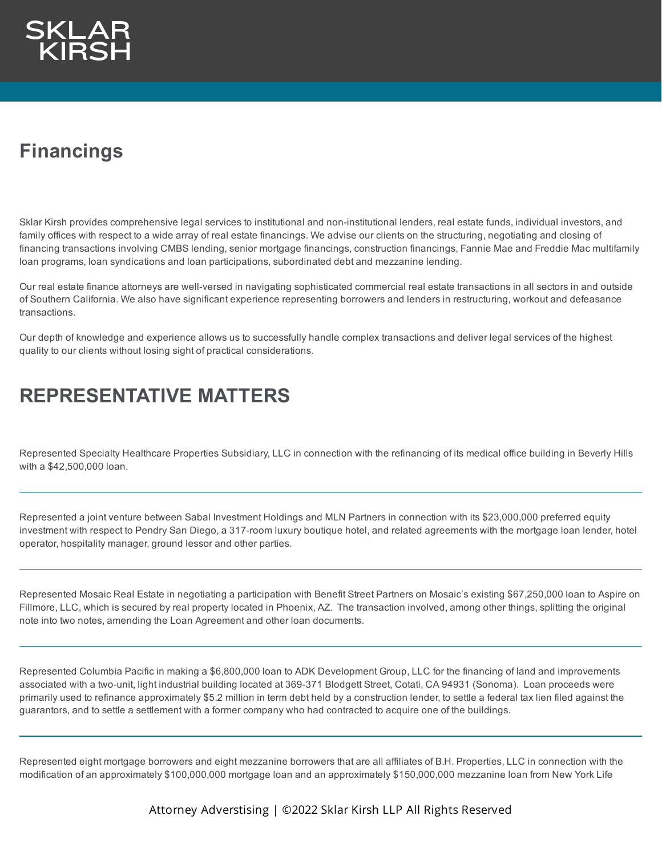

## **Financings**

Sklar Kirsh provides comprehensive legal services to institutional and non-institutional lenders, real estate funds, individual investors, and family offices with respect to a wide array of real estate financings. We advise our clients on the structuring, negotiating and closing of financing transactions involving CMBS lending, senior mortgage financings, construction financings, Fannie Mae and Freddie Mac multifamily loan programs, loan syndications and loan participations, subordinated debt and mezzanine lending.

Our real estate finance attorneys are well-versed in navigating sophisticated commercial real estate transactions in all sectors in and outside of Southern California. We also have significant experience representing borrowers and lenders in restructuring, workout and defeasance transactions.

Our depth of knowledge and experience allows us to successfully handle complex transactions and deliver legal services of the highest quality to our clients without losing sight of practical considerations.

## **REPRESENTATIVE MATTERS**

Represented Specialty Healthcare Properties Subsidiary, LLC in connection with the refinancing of its medical office building in Beverly Hills with a \$42,500,000 loan.

Represented a joint venture between Sabal Investment Holdings and MLN Partners in connection with its \$23,000,000 preferred equity investment with respect to Pendry San Diego, a 317-room luxury boutique hotel, and related agreements with the mortgage loan lender, hotel operator, hospitality manager, ground lessor and other parties.

Represented Mosaic Real Estate in negotiating a participation with Benefit Street Partners on Mosaic's existing \$67,250,000 loan to Aspire on Fillmore, LLC, which is secured by real property located in Phoenix, AZ. The transaction involved, among other things, splitting the original note into two notes, amending the Loan Agreement and other loan documents.

Represented Columbia Pacific in making a \$6,800,000 loan to ADK Development Group, LLC for the financing of land and improvements associated with a two-unit, light industrial building located at 369-371 Blodgett Street, Cotati, CA 94931 (Sonoma). Loan proceeds were primarily used to refinance approximately \$5.2 million in term debt held by a construction lender, to settle a federal tax lien filed against the guarantors, and to settle a settlement with a former company who had contracted to acquire one of the buildings.

Represented eight mortgage borrowers and eight mezzanine borrowers that are all affiliates of B.H. Properties, LLC in connection with the modification of an approximately \$100,000,000 mortgage loan and an approximately \$150,000,000 mezzanine loan from New York Life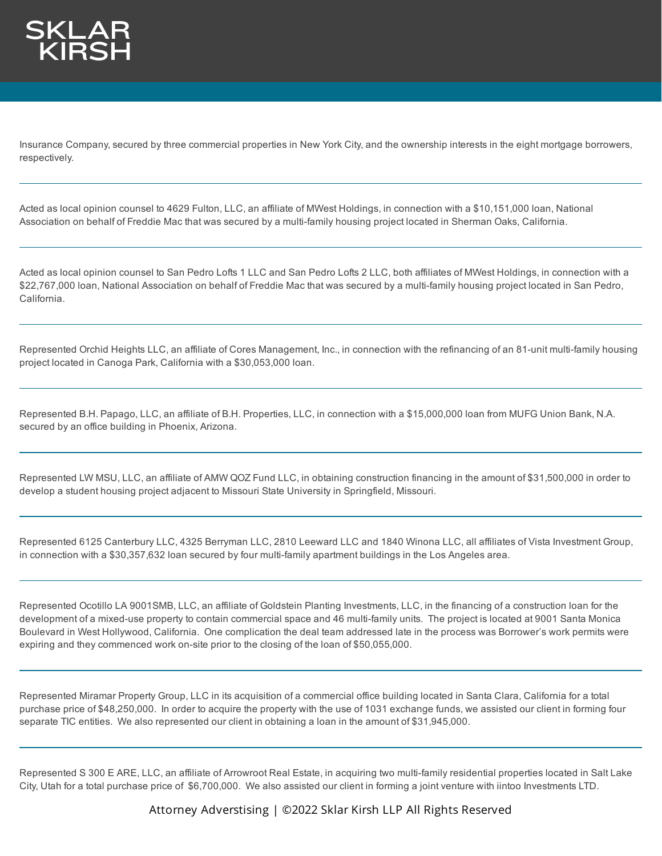

Insurance Company, secured by three commercial properties in New York City, and the ownership interests in the eight mortgage borrowers, respectively.

Acted as local opinion counsel to 4629 Fulton, LLC, an affiliate of MWest Holdings, in connection with a \$10,151,000 loan, National Association on behalf of Freddie Mac that was secured by a multi-family housing project located in Sherman Oaks, California.

Acted as local opinion counsel to San Pedro Lofts 1 LLC and San Pedro Lofts 2 LLC, both affiliates of MWest Holdings, in connection with a \$22,767,000 loan, National Association on behalf of Freddie Mac that was secured by a multi-family housing project located in San Pedro, California.

Represented Orchid Heights LLC, an affiliate of Cores Management, Inc., in connection with the refinancing of an 81-unit multi-family housing project located in Canoga Park, California with a \$30,053,000 loan.

Represented B.H. Papago, LLC, an affiliate of B.H. Properties, LLC, in connection with a \$15,000,000 loan from MUFG Union Bank, N.A. secured by an office building in Phoenix, Arizona.

Represented LW MSU, LLC, an affiliate of AMW QOZ Fund LLC, in obtaining construction financing in the amount of \$31,500,000 in order to develop a student housing project adjacent to Missouri State University in Springfield, Missouri.

Represented 6125 Canterbury LLC, 4325 Berryman LLC, 2810 Leeward LLC and 1840 Winona LLC, all affiliates of Vista Investment Group, in connection with a \$30,357,632 loan secured by four multi-family apartment buildings in the Los Angeles area.

Represented Ocotillo LA 9001SMB, LLC, an affiliate of Goldstein Planting Investments, LLC, in the financing of a construction loan for the development of a mixed-use property to contain commercial space and 46 multi-family units. The project is located at 9001 Santa Monica Boulevard in West Hollywood, California. One complication the deal team addressed late in the process was Borrower's work permits were expiring and they commenced work on-site prior to the closing of the loan of \$50,055,000.

Represented Miramar Property Group, LLC in its acquisition of a commercial office building located in Santa Clara, California for a total purchase price of \$48,250,000. In order to acquire the property with the use of 1031 exchange funds, we assisted our client in forming four separate TIC entities. We also represented our client in obtaining a loan in the amount of \$31,945,000.

Represented S 300 E ARE, LLC, an affiliate of Arrowroot Real Estate, in acquiring two multi-family residential properties located in Salt Lake City, Utah for a total purchase price of \$6,700,000. We also assisted our client in forming a joint venture with iintoo Investments LTD.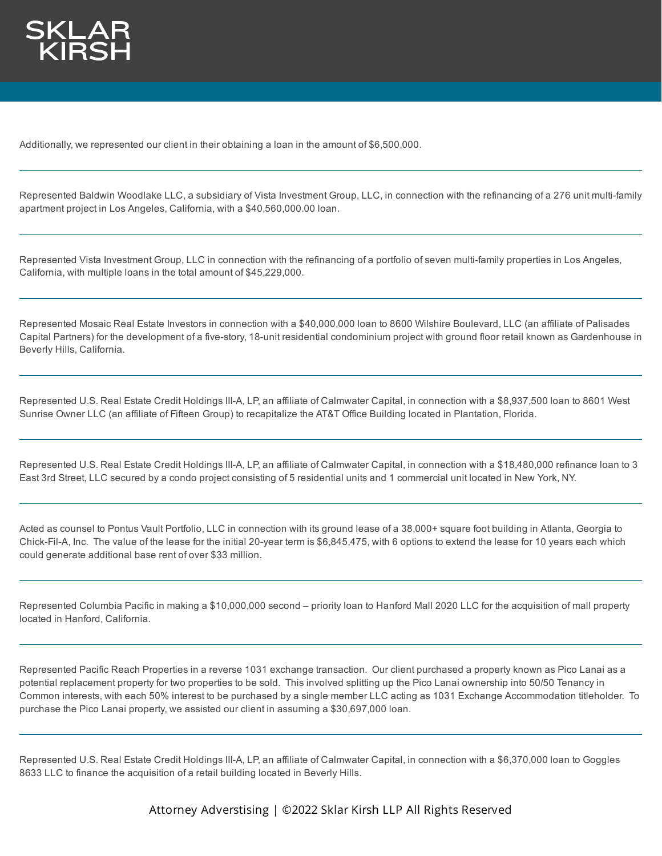

Additionally, we represented our client in their obtaining a loan in the amount of \$6,500,000.

Represented Baldwin Woodlake LLC, a subsidiary of Vista Investment Group, LLC, in connection with the refinancing of a 276 unit multi-family apartment project in Los Angeles, California, with a \$40,560,000.00 loan.

Represented Vista Investment Group, LLC in connection with the refinancing of a portfolio of seven multi-family properties in Los Angeles, California, with multiple loans in the total amount of \$45,229,000.

Represented Mosaic Real Estate Investors in connection with a \$40,000,000 loan to 8600 Wilshire Boulevard, LLC (an affiliate of Palisades Capital Partners) for the development of a five-story, 18-unit residential condominium project with ground floor retail known as Gardenhouse in Beverly Hills, California.

Represented U.S. Real Estate Credit Holdings III-A, LP, an affiliate of Calmwater Capital, in connection with a \$8,937,500 loan to 8601 West Sunrise Owner LLC (an affiliate of Fifteen Group) to recapitalize the AT&T Office Building located in Plantation, Florida.

Represented U.S. Real Estate Credit Holdings III-A, LP, an affiliate of Calmwater Capital, in connection with a \$18,480,000 refinance loan to 3 East 3rd Street, LLC secured by a condo project consisting of 5 residential units and 1 commercial unit located in New York, NY.

Acted as counsel to Pontus Vault Portfolio, LLC in connection with its ground lease of a 38,000+ square foot building in Atlanta, Georgia to Chick-Fil-A, Inc. The value of the lease for the initial 20-year term is \$6,845,475, with 6 options to extend the lease for 10 years each which could generate additional base rent of over \$33 million.

Represented Columbia Pacific in making a \$10,000,000 second – priority loan to Hanford Mall 2020 LLC for the acquisition of mall property located in Hanford, California.

Represented Pacific Reach Properties in a reverse 1031 exchange transaction. Our client purchased a property known as Pico Lanai as a potential replacement property for two properties to be sold. This involved splitting up the Pico Lanai ownership into 50/50 Tenancy in Common interests, with each 50% interest to be purchased by a single member LLC acting as 1031 Exchange Accommodation titleholder. To purchase the Pico Lanai property, we assisted our client in assuming a \$30,697,000 loan.

Represented U.S. Real Estate Credit Holdings III-A, LP, an affiliate of Calmwater Capital, in connection with a \$6,370,000 loan to Goggles 8633 LLC to finance the acquisition of a retail building located in Beverly Hills.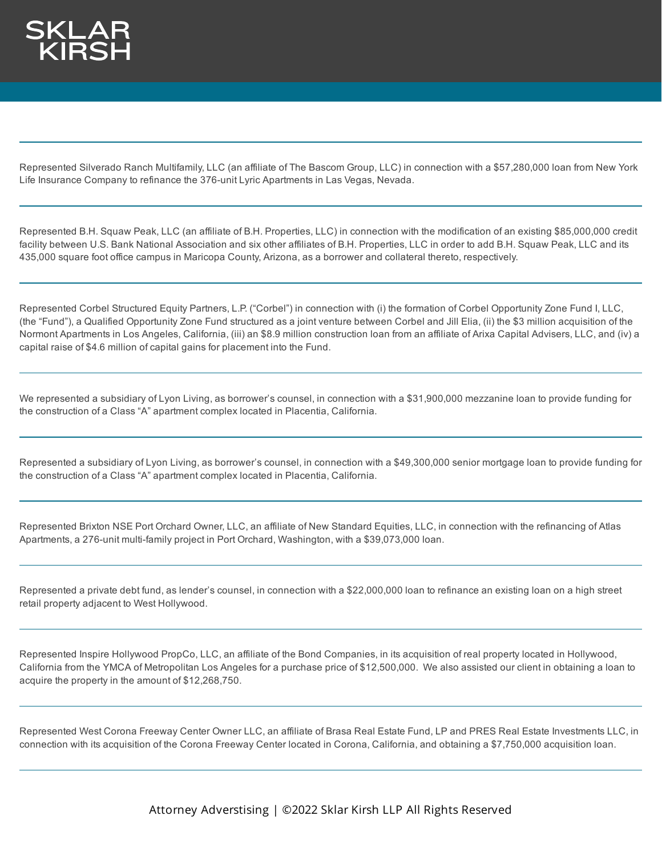

Represented Silverado Ranch Multifamily, LLC (an affiliate of The Bascom Group, LLC) in connection with a \$57,280,000 loan from New York Life Insurance Company to refinance the 376-unit Lyric Apartments in Las Vegas, Nevada.

Represented B.H. Squaw Peak, LLC (an affiliate of B.H. Properties, LLC) in connection with the modification of an existing \$85,000,000 credit facility between U.S. Bank National Association and six other affiliates of B.H. Properties, LLC in order to add B.H. Squaw Peak, LLC and its 435,000 square foot office campus in Maricopa County, Arizona, as a borrower and collateral thereto, respectively.

Represented Corbel Structured Equity Partners, L.P. ("Corbel") in connection with (i) the formation of Corbel Opportunity Zone Fund I, LLC, (the "Fund"), a Qualified Opportunity Zone Fund structured as a joint venture between Corbel and Jill Elia, (ii) the \$3 million acquisition of the Normont Apartments in Los Angeles, California, (iii) an \$8.9 million construction loan from an affiliate of Arixa Capital Advisers, LLC, and (iv) a capital raise of \$4.6 million of capital gains for placement into the Fund.

We represented a subsidiary of Lyon Living, as borrower's counsel, in connection with a \$31,900,000 mezzanine loan to provide funding for the construction of a Class "A" apartment complex located in Placentia, California.

Represented a subsidiary of Lyon Living, as borrower's counsel, in connection with a \$49,300,000 senior mortgage loan to provide funding for the construction of a Class "A" apartment complex located in Placentia, California.

Represented Brixton NSE Port Orchard Owner, LLC, an affiliate of New Standard Equities, LLC, in connection with the refinancing of Atlas Apartments, a 276-unit multi-family project in Port Orchard, Washington, with a \$39,073,000 loan.

Represented a private debt fund, as lender's counsel, in connection with a \$22,000,000 loan to refinance an existing loan on a high street retail property adjacent to West Hollywood.

Represented Inspire Hollywood PropCo, LLC, an affiliate of the Bond Companies, in its acquisition of real property located in Hollywood, California from the YMCA of Metropolitan Los Angeles for a purchase price of \$12,500,000. We also assisted our client in obtaining a loan to acquire the property in the amount of \$12,268,750.

Represented West Corona Freeway Center Owner LLC, an affiliate of Brasa Real Estate Fund, LP and PRES Real Estate Investments LLC, in connection with its acquisition of the Corona Freeway Center located in Corona, California, and obtaining a \$7,750,000 acquisition loan.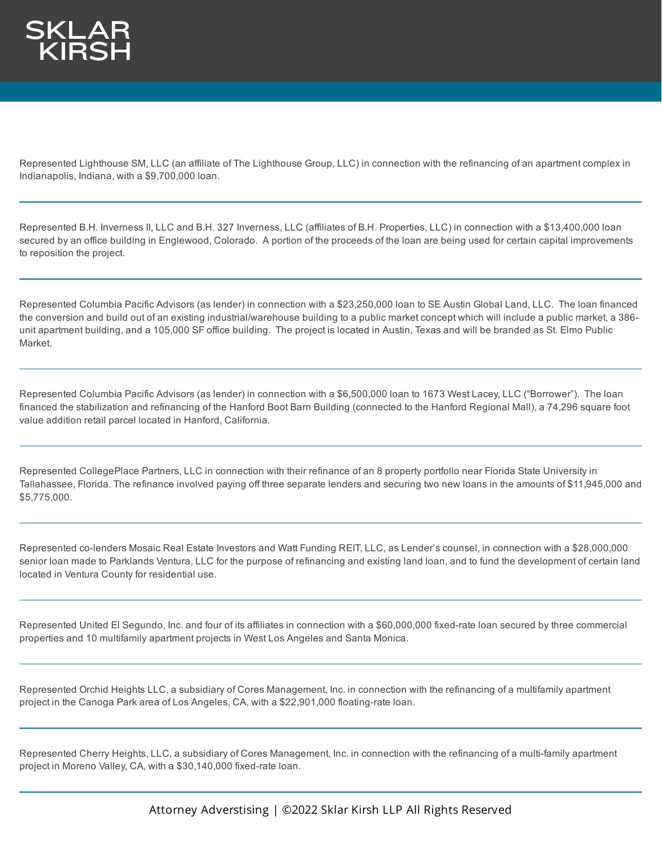

Represented Lighthouse SM, LLC (an affiliate of The Lighthouse Group, LLC) in connection with the refinancing of an apartment complex in Indianapolis, Indiana, with a \$9,700,000 loan.

Represented B.H. Inverness II, LLC and B.H. 327 Inverness, LLC (affiliates of B.H. Properties, LLC) in connection with a \$13,400,000 loan secured by an office building in Englewood, Colorado. A portion of the proceeds of the loan are being used for certain capital improvements to reposition the project.

Represented Columbia Pacific Advisors (as lender) in connection with a \$23,250,000 loan to SE Austin Global Land, LLC. The loan financed the conversion and build out of an existing industrial/warehouse building to a public market concept which will include a public market, a 386 unit apartment building, and a 105,000 SF office building. The project is located in Austin, Texas and will be branded as St. Elmo Public Market.

Represented Columbia Pacific Advisors (as lender) in connection with a \$6,500,000 loan to 1673 West Lacey, LLC ("Borrower"). The loan financed the stabilization and refinancing of the Hanford Boot Barn Building (connected to the Hanford Regional Mall), a 74,296 square foot value addition retail parcel located in Hanford, California.

Represented CollegePlace Partners, LLC in connection with their refinance of an 8 property portfolio near Florida State University in Tallahassee, Florida. The refinance involved paying off three separate lenders and securing two new loans in the amounts of \$11,945,000 and \$5,775,000.

Represented co-lenders Mosaic Real Estate Investors and Watt Funding REIT, LLC, as Lender's counsel, in connection with a \$28,000,000 senior loan made to Parklands Ventura, LLC for the purpose of refinancing and existing land loan, and to fund the development of certain land located in Ventura County for residential use.

Represented United El Segundo, Inc. and four of its affiliates in connection with a \$60,000,000 fixed-rate loan secured by three commercial properties and 10 multifamily apartment projects in West Los Angeles and Santa Monica.

Represented Orchid Heights LLC, a subsidiary of Cores Management, Inc. in connection with the refinancing of a multifamily apartment project in the Canoga Park area of Los Angeles, CA, with a \$22,901,000 floating-rate loan.

Represented Cherry Heights, LLC, a subsidiary of Cores Management, Inc. in connection with the refinancing of a multi-family apartment project in Moreno Valley, CA, with a \$30,140,000 fixed-rate loan.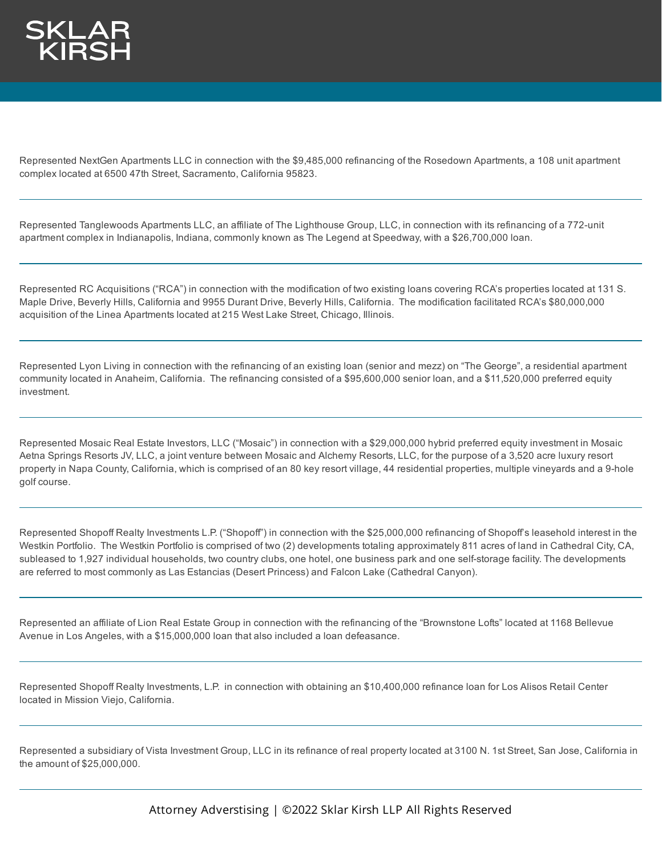

Represented NextGen Apartments LLC in connection with the \$9,485,000 refinancing of the Rosedown Apartments, a 108 unit apartment complex located at 6500 47th Street, Sacramento, California 95823.

Represented Tanglewoods Apartments LLC, an affiliate of The Lighthouse Group, LLC, in connection with its refinancing of a 772-unit apartment complex in Indianapolis, Indiana, commonly known as The Legend at Speedway, with a \$26,700,000 loan.

Represented RC Acquisitions ("RCA") in connection with the modification of two existing loans covering RCA's properties located at 131 S. Maple Drive, Beverly Hills, California and 9955 Durant Drive, Beverly Hills, California. The modification facilitated RCA's \$80,000,000 acquisition of the Linea Apartments located at 215 West Lake Street, Chicago, Illinois.

Represented Lyon Living in connection with the refinancing of an existing loan (senior and mezz) on "The George", a residential apartment community located in Anaheim, California. The refinancing consisted of a \$95,600,000 senior loan, and a \$11,520,000 preferred equity investment.

Represented Mosaic Real Estate Investors, LLC ("Mosaic") in connection with a \$29,000,000 hybrid preferred equity investment in Mosaic Aetna Springs Resorts JV, LLC, a joint venture between Mosaic and Alchemy Resorts, LLC, for the purpose of a 3,520 acre luxury resort property in Napa County, California, which is comprised of an 80 key resort village, 44 residential properties, multiple vineyards and a 9-hole golf course.

Represented Shopoff Realty Investments L.P. ("Shopoff") in connection with the \$25,000,000 refinancing of Shopoff's leasehold interest in the Westkin Portfolio. The Westkin Portfolio is comprised of two (2) developments totaling approximately 811 acres of land in Cathedral City, CA, subleased to 1,927 individual households, two country clubs, one hotel, one business park and one self-storage facility. The developments are referred to most commonly as Las Estancias (Desert Princess) and Falcon Lake (Cathedral Canyon).

Represented an affiliate of Lion Real Estate Group in connection with the refinancing of the "Brownstone Lofts" located at 1168 Bellevue Avenue in Los Angeles, with a \$15,000,000 loan that also included a loan defeasance.

Represented Shopoff Realty Investments, L.P. in connection with obtaining an \$10,400,000 refinance loan for Los Alisos Retail Center located in Mission Viejo, California.

Represented a subsidiary of Vista Investment Group, LLC in its refinance of real property located at 3100 N. 1st Street, San Jose, California in the amount of \$25,000,000.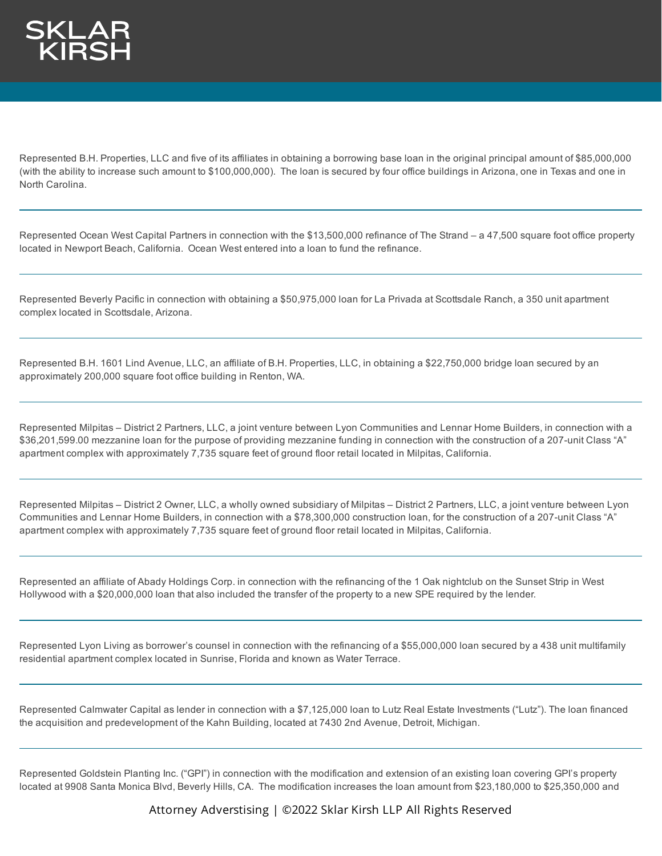Represented B.H. Properties, LLC and five of its affiliates in obtaining a borrowing base loan in the original principal amount of \$85,000,000 (with the ability to increase such amount to \$100,000,000). The loan is secured by four office buildings in Arizona, one in Texas and one in North Carolina.

Represented Ocean West Capital Partners in connection with the \$13,500,000 refinance of The Strand – a 47,500 square foot office property located in Newport Beach, California. Ocean West entered into a loan to fund the refinance.

Represented Beverly Pacific in connection with obtaining a \$50,975,000 loan for La Privada at Scottsdale Ranch, a 350 unit apartment complex located in Scottsdale, Arizona.

Represented B.H. 1601 Lind Avenue, LLC, an affiliate of B.H. Properties, LLC, in obtaining a \$22,750,000 bridge loan secured by an approximately 200,000 square foot office building in Renton, WA.

Represented Milpitas – District 2 Partners, LLC, a joint venture between Lyon Communities and Lennar Home Builders, in connection with a \$36,201,599.00 mezzanine loan for the purpose of providing mezzanine funding in connection with the construction of a 207-unit Class "A" apartment complex with approximately 7,735 square feet of ground floor retail located in Milpitas, California.

Represented Milpitas – District 2 Owner, LLC, a wholly owned subsidiary of Milpitas – District 2 Partners, LLC, a joint venture between Lyon Communities and Lennar Home Builders, in connection with a \$78,300,000 construction loan, for the construction of a 207-unit Class "A" apartment complex with approximately 7,735 square feet of ground floor retail located in Milpitas, California.

Represented an affiliate of Abady Holdings Corp. in connection with the refinancing of the 1 Oak nightclub on the Sunset Strip in West Hollywood with a \$20,000,000 loan that also included the transfer of the property to a new SPE required by the lender.

Represented Lyon Living as borrower's counsel in connection with the refinancing of a \$55,000,000 loan secured by a 438 unit multifamily residential apartment complex located in Sunrise, Florida and known as Water Terrace.

Represented Calmwater Capital as lender in connection with a \$7,125,000 loan to Lutz Real Estate Investments ("Lutz"). The loan financed the acquisition and predevelopment of the Kahn Building, located at 7430 2nd Avenue, Detroit, Michigan.

Represented Goldstein Planting Inc. ("GPI") in connection with the modification and extension of an existing loan covering GPI's property located at 9908 Santa Monica Blvd, Beverly Hills, CA. The modification increases the loan amount from \$23,180,000 to \$25,350,000 and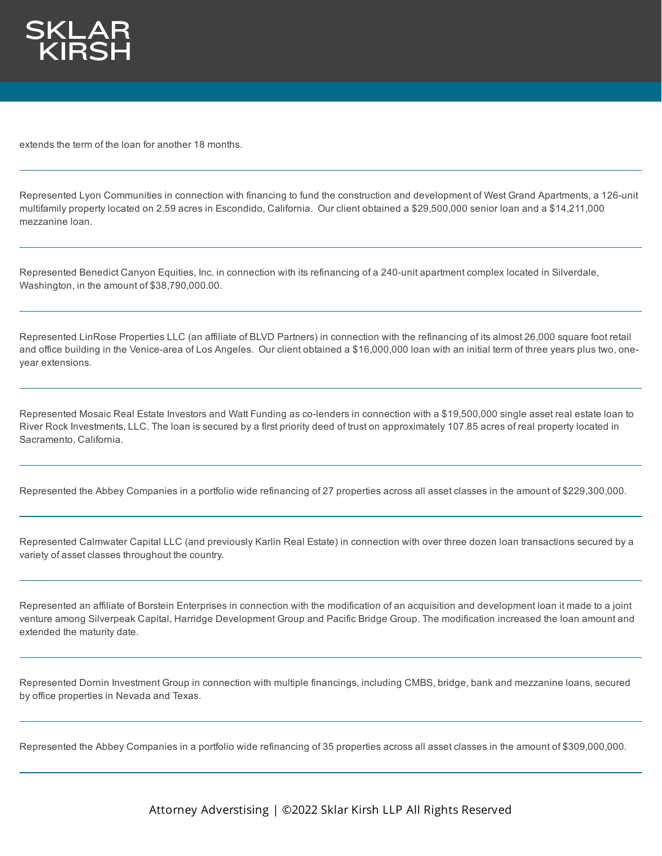

extends the term of the loan for another 18 months.

Represented Lyon Communities in connection with financing to fund the construction and development of West Grand Apartments, a 126-unit multifamily property located on 2.59 acres in Escondido, California. Our client obtained a \$29,500,000 senior loan and a \$14,211,000 mezzanine loan.

Represented Benedict Canyon Equities, Inc. in connection with its refinancing of a 240-unit apartment complex located in Silverdale, Washington, in the amount of \$38,790,000.00.

Represented LinRose Properties LLC (an affiliate of BLVD Partners) in connection with the refinancing of its almost 26,000 square foot retail and office building in the Venice-area of Los Angeles. Our client obtained a \$16,000,000 loan with an initial term of three years plus two, oneyear extensions.

Represented Mosaic Real Estate Investors and Watt Funding as co-lenders in connection with a \$19,500,000 single asset real estate loan to River Rock Investments, LLC. The loan is secured by a first priority deed of trust on approximately 107.85 acres of real property located in Sacramento, California.

Represented the Abbey Companies in a portfolio wide refinancing of 27 properties across all asset classes in the amount of \$229,300,000.

Represented Calmwater Capital LLC (and previously Karlin Real Estate) in connection with over three dozen loan transactions secured by a variety of asset classes throughout the country.

Represented an affiliate of Borstein Enterprises in connection with the modification of an acquisition and development loan it made to a joint venture among Silverpeak Capital, Harridge Development Group and Pacific Bridge Group. The modification increased the loan amount and extended the maturity date.

Represented Dornin Investment Group in connection with multiple financings, including CMBS, bridge, bank and mezzanine loans, secured by office properties in Nevada and Texas.

Represented the Abbey Companies in a portfolio wide refinancing of 35 properties across all asset classes in the amount of \$309,000,000.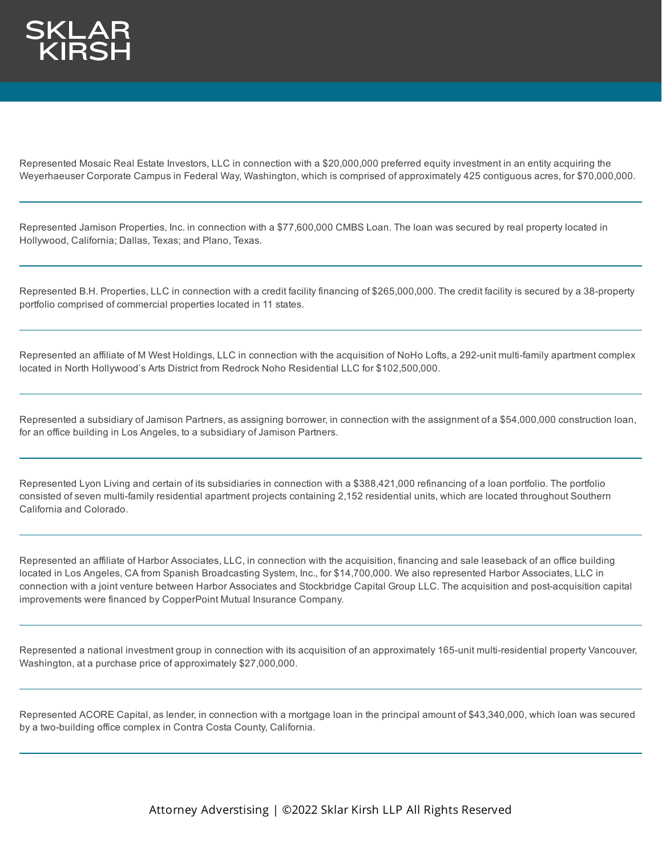Represented Mosaic Real Estate Investors, LLC in connection with a \$20,000,000 preferred equity investment in an entity acquiring the Weyerhaeuser Corporate Campus in Federal Way, Washington, which is comprised of approximately 425 contiguous acres, for \$70,000,000.

Represented Jamison Properties, Inc. in connection with a \$77,600,000 CMBS Loan. The loan was secured by real property located in Hollywood, California; Dallas, Texas; and Plano, Texas.

Represented B.H. Properties, LLC in connection with a credit facility financing of \$265,000,000. The credit facility is secured by a 38-property portfolio comprised of commercial properties located in 11 states.

Represented an affiliate of M West Holdings, LLC in connection with the acquisition of NoHo Lofts, a 292-unit multi-family apartment complex located in North Hollywood's Arts District from Redrock Noho Residential LLC for \$102,500,000.

Represented a subsidiary of Jamison Partners, as assigning borrower, in connection with the assignment of a \$54,000,000 construction loan, for an office building in Los Angeles, to a subsidiary of Jamison Partners.

Represented Lyon Living and certain of its subsidiaries in connection with a \$388,421,000 refinancing of a loan portfolio. The portfolio consisted of seven multi-family residential apartment projects containing 2,152 residential units, which are located throughout Southern California and Colorado.

Represented an affiliate of Harbor Associates, LLC, in connection with the acquisition, financing and sale leaseback of an office building located in Los Angeles, CA from Spanish Broadcasting System, Inc., for \$14,700,000. We also represented Harbor Associates, LLC in connection with a joint venture between Harbor Associates and Stockbridge Capital Group LLC. The acquisition and post-acquisition capital improvements were financed by CopperPoint Mutual Insurance Company.

Represented a national investment group in connection with its acquisition of an approximately 165-unit multi-residential property Vancouver, Washington, at a purchase price of approximately \$27,000,000.

Represented ACORE Capital, as lender, in connection with a mortgage loan in the principal amount of \$43,340,000, which loan was secured by a two-building office complex in Contra Costa County, California.